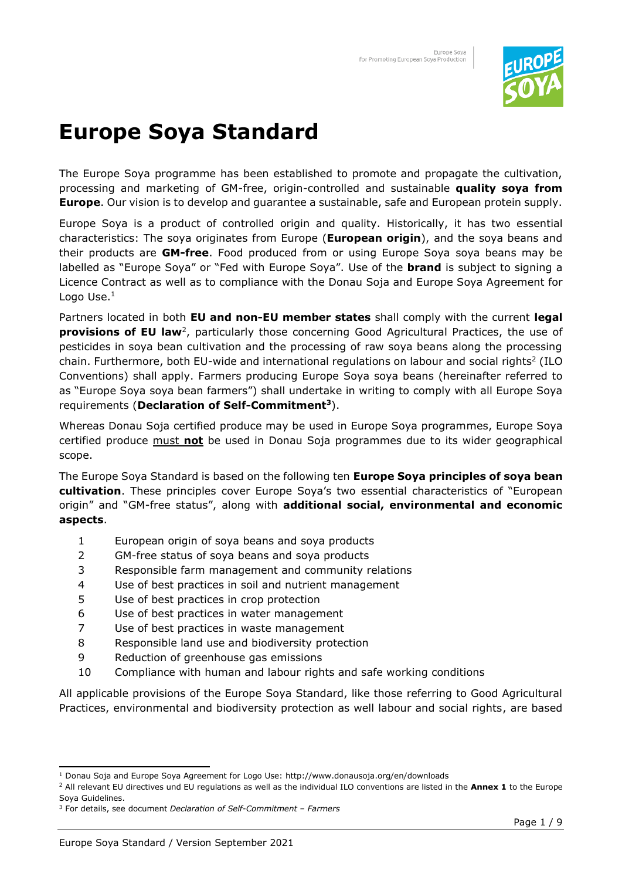

## **Europe Soya Standard**

The Europe Soya programme has been established to promote and propagate the cultivation, processing and marketing of GM-free, origin-controlled and sustainable **quality soya from Europe**. Our vision is to develop and guarantee a sustainable, safe and European protein supply.

Europe Soya is a product of controlled origin and quality. Historically, it has two essential characteristics: The soya originates from Europe (**European origin**), and the soya beans and their products are **GM-free**. Food produced from or using Europe Soya soya beans may be labelled as "Europe Soya" or "Fed with Europe Soya". Use of the **brand** is subject to signing a Licence Contract as well as to compliance with the Donau Soja and Europe Soya Agreement for Logo Use. $<sup>1</sup>$ </sup>

Partners located in both **EU and non-EU member states** shall comply with the current **legal**  provisions of EU law<sup>2</sup>, particularly those concerning Good Agricultural Practices, the use of pesticides in soya bean cultivation and the processing of raw soya beans along the processing chain. Furthermore, both EU-wide and international regulations on labour and social rights<sup>2</sup> (ILO Conventions) shall apply. Farmers producing Europe Soya soya beans (hereinafter referred to as "Europe Soya soya bean farmers") shall undertake in writing to comply with all Europe Soya requirements (**Declaration of Self-Commitment<sup>3</sup>** ).

Whereas Donau Soja certified produce may be used in Europe Soya programmes, Europe Soya certified produce must **not** be used in Donau Soja programmes due to its wider geographical scope.

The Europe Soya Standard is based on the following ten **Europe Soya principles of soya bean cultivation**. These principles cover Europe Soya's two essential characteristics of "European origin" and "GM-free status", along with **additional social, environmental and economic aspects**.

- 1 European origin of soya beans and soya products
- 2 GM-free status of soya beans and soya products
- 3 Responsible farm management and community relations
- 4 Use of best practices in soil and nutrient management
- 5 Use of best practices in crop protection
- 6 Use of best practices in water management
- 7 Use of best practices in waste management
- 8 Responsible land use and biodiversity protection
- 9 Reduction of greenhouse gas emissions
- 10 Compliance with human and labour rights and safe working conditions

All applicable provisions of the Europe Soya Standard, like those referring to Good Agricultural Practices, environmental and biodiversity protection as well labour and social rights, are based

<sup>1</sup> Donau Soja and Europe Soya Agreement for Logo Use: http://www.donausoja.org/en/downloads

<sup>2</sup> All relevant EU directives und EU regulations as well as the individual ILO conventions are listed in the **Annex 1** to the Europe Soya Guidelines.

<sup>3</sup> For details, see document *Declaration of Self-Commitment – Farmers*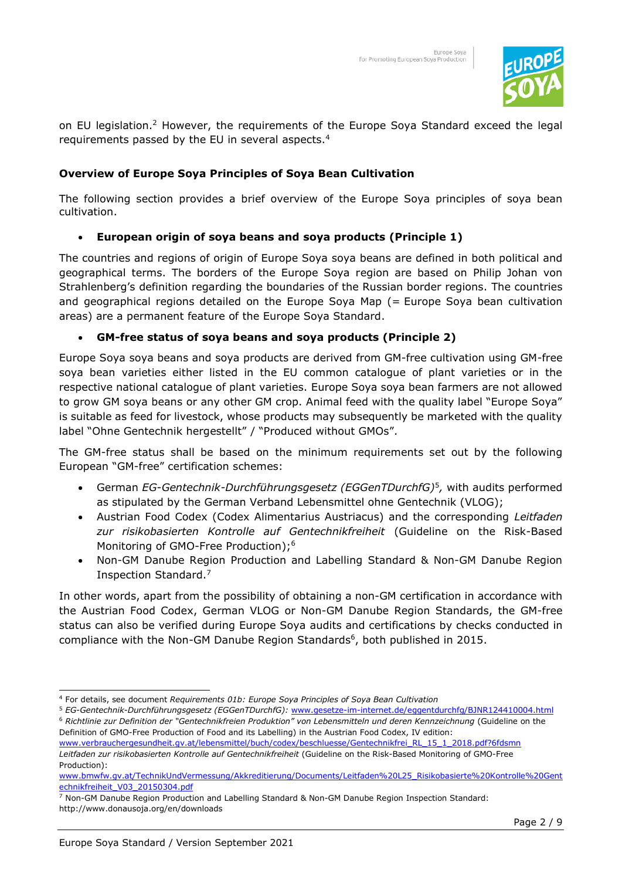

on EU legislation.<sup>2</sup> However, the requirements of the Europe Soya Standard exceed the legal requirements passed by the EU in several aspects.<sup>4</sup>

#### **Overview of Europe Soya Principles of Soya Bean Cultivation**

The following section provides a brief overview of the Europe Soya principles of soya bean cultivation.

#### • **European origin of soya beans and soya products (Principle 1)**

The countries and regions of origin of Europe Soya soya beans are defined in both political and geographical terms. The borders of the Europe Soya region are based on Philip Johan von Strahlenberg's definition regarding the boundaries of the Russian border regions. The countries and geographical regions detailed on the Europe Soya Map (= Europe Soya bean cultivation areas) are a permanent feature of the Europe Soya Standard.

#### • **GM-free status of soya beans and soya products (Principle 2)**

Europe Soya soya beans and soya products are derived from GM-free cultivation using GM-free soya bean varieties either listed in the EU common catalogue of plant varieties or in the respective national catalogue of plant varieties. Europe Soya soya bean farmers are not allowed to grow GM soya beans or any other GM crop. Animal feed with the quality label "Europe Soya" is suitable as feed for livestock, whose products may subsequently be marketed with the quality label "Ohne Gentechnik hergestellt" / "Produced without GMOs".

The GM-free status shall be based on the minimum requirements set out by the following European "GM-free" certification schemes:

- German *EG-Gentechnik-Durchführungsgesetz (EGGenTDurchfG)*<sup>5</sup> *,* with audits performed as stipulated by the German Verband Lebensmittel ohne Gentechnik (VLOG);
- Austrian Food Codex (Codex Alimentarius Austriacus) and the corresponding *Leitfaden zur risikobasierten Kontrolle auf Gentechnikfreiheit* (Guideline on the Risk-Based Monitoring of GMO-Free Production);<sup>6</sup>
- Non-GM Danube Region Production and Labelling Standard & Non-GM Danube Region Inspection Standard.<sup>7</sup>

In other words, apart from the possibility of obtaining a non-GM certification in accordance with the Austrian Food Codex, German VLOG or Non-GM Danube Region Standards, the GM-free status can also be verified during Europe Soya audits and certifications by checks conducted in compliance with the Non-GM Danube Region Standards $6$ , both published in 2015.

<sup>4</sup> For details, see document *Requirements 01b: Europe Soya Principles of Soya Bean Cultivation*

<sup>5</sup> *EG-Gentechnik-Durchführungsgesetz (EGGenTDurchfG):* [www.gesetze-im-internet.de/eggentdurchfg/BJNR124410004.html](http://www.gesetze-im-internet.de/eggentdurchfg/BJNR124410004.html) <sup>6</sup> *Richtlinie zur Definition der "Gentechnikfreien Produktion" von Lebensmitteln und deren Kennzeichnung* (Guideline on the Definition of GMO-Free Production of Food and its Labelling) in the Austrian Food Codex, IV edition:

[www.verbrauchergesundheit.gv.at/lebensmittel/buch/codex/beschluesse/Gentechnikfrei\\_RL\\_15\\_1\\_2018.pdf?6fdsmn](http://www.verbrauchergesundheit.gv.at/lebensmittel/buch/codex/beschluesse/Gentechnikfrei_RL_15_1_2018.pdf?6fdsmn) *Leitfaden zur risikobasierten Kontrolle auf Gentechnikfreiheit* (Guideline on the Risk-Based Monitoring of GMO-Free Production):

[www.bmwfw.gv.at/TechnikUndVermessung/Akkreditierung/Documents/Leitfaden%20L25\\_Risikobasierte%20Kontrolle%20Gent](http://www.bmwfw.gv.at/TechnikUndVermessung/Akkreditierung/Documents/Leitfaden%20L25_Risikobasierte%20Kontrolle%20Gentechnikfreiheit_V03_20150304.pdf) [echnikfreiheit\\_V03\\_20150304.pdf](http://www.bmwfw.gv.at/TechnikUndVermessung/Akkreditierung/Documents/Leitfaden%20L25_Risikobasierte%20Kontrolle%20Gentechnikfreiheit_V03_20150304.pdf)

<sup>7</sup> Non-GM Danube Region Production and Labelling Standard & Non-GM Danube Region Inspection Standard: http://www.donausoja.org/en/downloads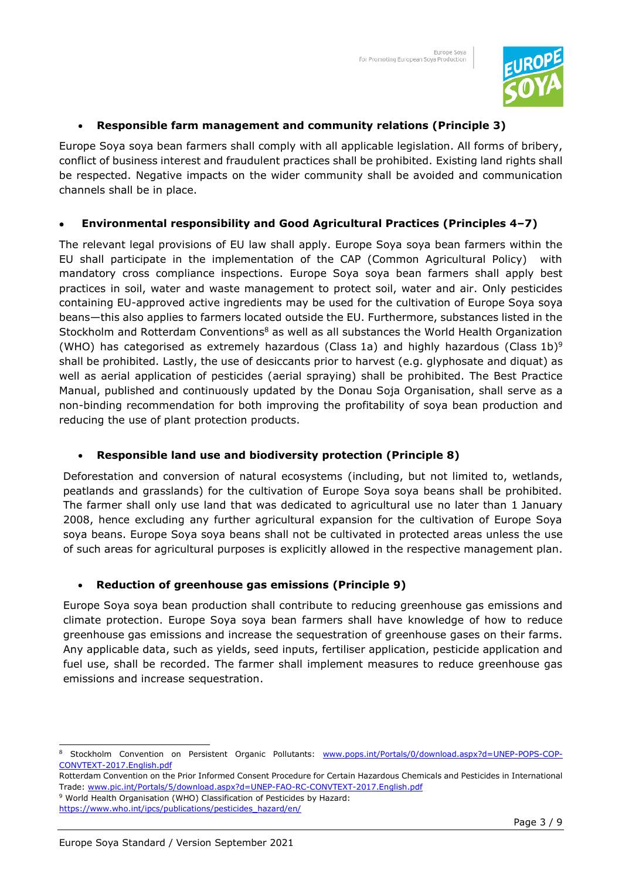

#### • **Responsible farm management and community relations (Principle 3)**

Europe Soya soya bean farmers shall comply with all applicable legislation. All forms of bribery, conflict of business interest and fraudulent practices shall be prohibited. Existing land rights shall be respected. Negative impacts on the wider community shall be avoided and communication channels shall be in place.

#### • **Environmental responsibility and Good Agricultural Practices (Principles 4–7)**

The relevant legal provisions of EU law shall apply. Europe Soya soya bean farmers within the EU shall participate in the implementation of the CAP (Common Agricultural Policy) with mandatory cross compliance inspections. Europe Soya soya bean farmers shall apply best practices in soil, water and waste management to protect soil, water and air. Only pesticides containing EU-approved active ingredients may be used for the cultivation of Europe Soya soya beans—this also applies to farmers located outside the EU. Furthermore, substances listed in the Stockholm and Rotterdam Conventions<sup>8</sup> as well as all substances the World Health Organization (WHO) has categorised as extremely hazardous (Class 1a) and highly hazardous (Class 1b)<sup>9</sup> shall be prohibited. Lastly, the use of desiccants prior to harvest (e.g. glyphosate and diquat) as well as aerial application of pesticides (aerial spraying) shall be prohibited. The Best Practice Manual, published and continuously updated by the Donau Soja Organisation, shall serve as a non-binding recommendation for both improving the profitability of soya bean production and reducing the use of plant protection products.

#### • **Responsible land use and biodiversity protection (Principle 8)**

Deforestation and conversion of natural ecosystems (including, but not limited to, wetlands, peatlands and grasslands) for the cultivation of Europe Soya soya beans shall be prohibited. The farmer shall only use land that was dedicated to agricultural use no later than 1 January 2008, hence excluding any further agricultural expansion for the cultivation of Europe Soya soya beans. Europe Soya soya beans shall not be cultivated in protected areas unless the use of such areas for agricultural purposes is explicitly allowed in the respective management plan.

#### • **Reduction of greenhouse gas emissions (Principle 9)**

Europe Soya soya bean production shall contribute to reducing greenhouse gas emissions and climate protection. Europe Soya soya bean farmers shall have knowledge of how to reduce greenhouse gas emissions and increase the sequestration of greenhouse gases on their farms. Any applicable data, such as yields, seed inputs, fertiliser application, pesticide application and fuel use, shall be recorded. The farmer shall implement measures to reduce greenhouse gas emissions and increase sequestration.

<sup>&</sup>lt;sup>8</sup> Stockholm Convention on Persistent Organic Pollutants: [www.pops.int/Portals/0/download.aspx?d=UNEP-POPS-COP-](http://www.pops.int/Portals/0/download.aspx?d=UNEP-POPS-COP-CONVTEXT-2017.English.pdf)[CONVTEXT-2017.English.pdf](http://www.pops.int/Portals/0/download.aspx?d=UNEP-POPS-COP-CONVTEXT-2017.English.pdf) 

Rotterdam Convention on the Prior Informed Consent Procedure for Certain Hazardous Chemicals and Pesticides in International Trade: [www.pic.int/Portals/5/download.aspx?d=UNEP-FAO-RC-CONVTEXT-2017.English.pdf](http://www.pic.int/Portals/5/download.aspx?d=UNEP-FAO-RC-CONVTEXT-2017.English.pdf)

<sup>9</sup> World Health Organisation (WHO) Classification of Pesticides by Hazard: https://www.who.int/ipcs/publications/pesticides\_hazard/en/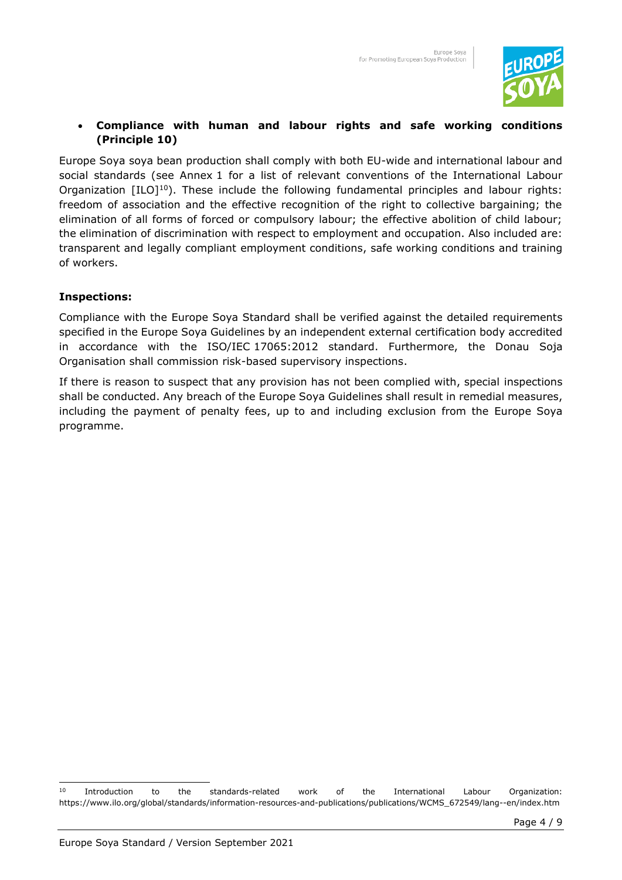

#### • **Compliance with human and labour rights and safe working conditions (Principle 10)**

Europe Soya soya bean production shall comply with both EU-wide and international labour and social standards (see Annex 1 for a list of relevant conventions of the International Labour Organization  $[ILO]^{10}$ ). These include the following fundamental principles and labour rights: freedom of association and the effective recognition of the right to collective bargaining; the elimination of all forms of forced or compulsory labour; the effective abolition of child labour; the elimination of discrimination with respect to employment and occupation. Also included are: transparent and legally compliant employment conditions, safe working conditions and training of workers.

#### **Inspections:**

Compliance with the Europe Soya Standard shall be verified against the detailed requirements specified in the Europe Soya Guidelines by an independent external certification body accredited in accordance with the ISO/IEC 17065:2012 standard. Furthermore, the Donau Soja Organisation shall commission risk-based supervisory inspections.

If there is reason to suspect that any provision has not been complied with, special inspections shall be conducted. Any breach of the Europe Soya Guidelines shall result in remedial measures, including the payment of penalty fees, up to and including exclusion from the Europe Soya programme.

<sup>10</sup> Introduction to the standards-related work of the International Labour Organization: https://www.ilo.org/global/standards/information-resources-and-publications/publications/WCMS\_672549/lang--en/index.htm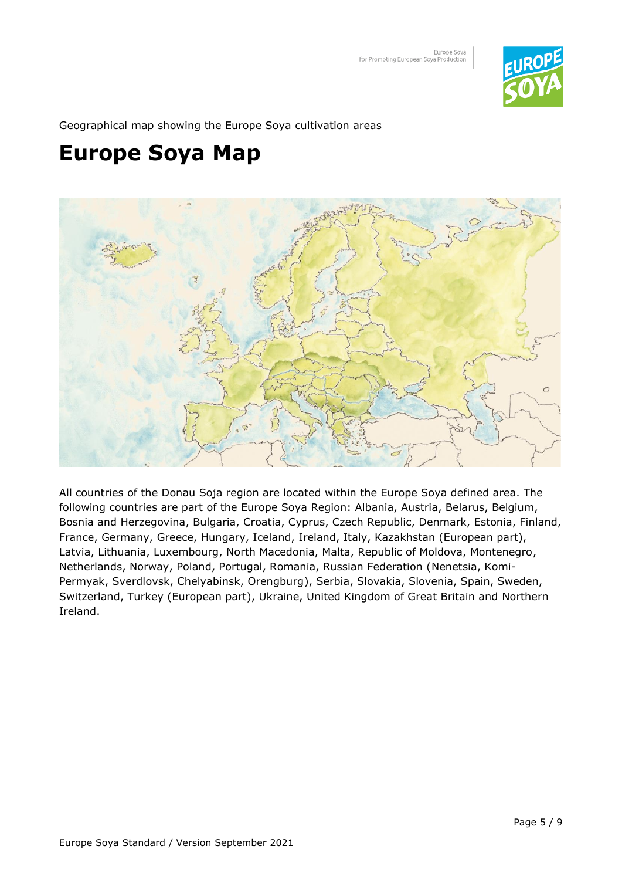

Geographical map showing the Europe Soya cultivation areas

### **Europe Soya Map**



All countries of the Donau Soja region are located within the Europe Soya defined area. The following countries are part of the Europe Soya Region: Albania, Austria, Belarus, Belgium, Bosnia and Herzegovina, Bulgaria, Croatia, Cyprus, Czech Republic, Denmark, Estonia, Finland, France, Germany, Greece, Hungary, Iceland, Ireland, Italy, Kazakhstan (European part), Latvia, Lithuania, Luxembourg, North Macedonia, Malta, Republic of Moldova, Montenegro, Netherlands, Norway, Poland, Portugal, Romania, Russian Federation (Nenetsia, Komi-Permyak, Sverdlovsk, Chelyabinsk, Orengburg), Serbia, Slovakia, Slovenia, Spain, Sweden, Switzerland, Turkey (European part), Ukraine, United Kingdom of Great Britain and Northern Ireland.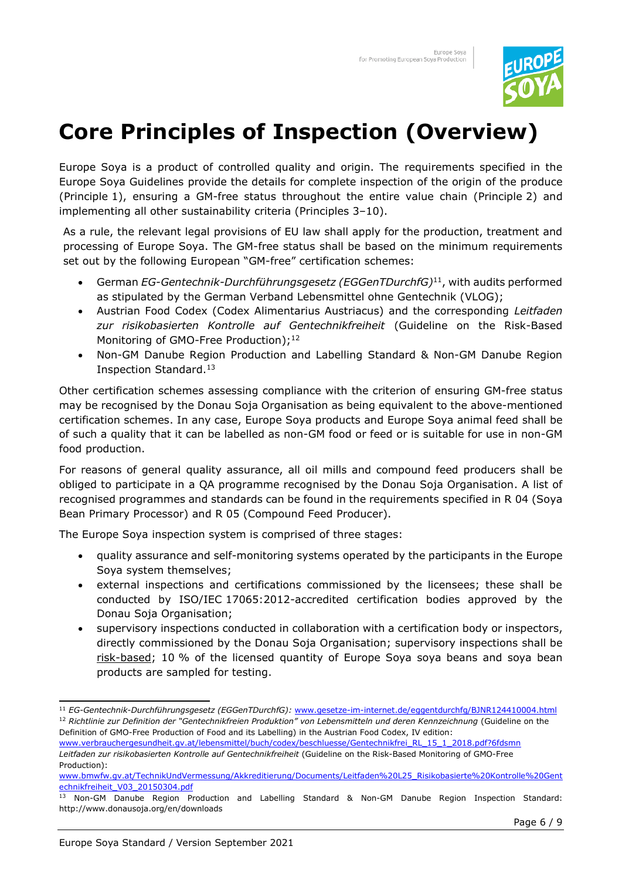

## **Core Principles of Inspection (Overview)**

Europe Soya is a product of controlled quality and origin. The requirements specified in the Europe Soya Guidelines provide the details for complete inspection of the origin of the produce (Principle 1), ensuring a GM-free status throughout the entire value chain (Principle 2) and implementing all other sustainability criteria (Principles 3–10).

As a rule, the relevant legal provisions of EU law shall apply for the production, treatment and processing of Europe Soya. The GM-free status shall be based on the minimum requirements set out by the following European "GM-free" certification schemes:

- German *EG-Gentechnik-Durchführungsgesetz (EGGenTDurchfG)*<sup>11</sup>, with audits performed as stipulated by the German Verband Lebensmittel ohne Gentechnik (VLOG);
- Austrian Food Codex (Codex Alimentarius Austriacus) and the corresponding *Leitfaden zur risikobasierten Kontrolle auf Gentechnikfreiheit* (Guideline on the Risk-Based Monitoring of GMO-Free Production);<sup>12</sup>
- Non-GM Danube Region Production and Labelling Standard & Non-GM Danube Region Inspection Standard.<sup>13</sup>

Other certification schemes assessing compliance with the criterion of ensuring GM-free status may be recognised by the Donau Soja Organisation as being equivalent to the above-mentioned certification schemes. In any case, Europe Soya products and Europe Soya animal feed shall be of such a quality that it can be labelled as non-GM food or feed or is suitable for use in non-GM food production.

For reasons of general quality assurance, all oil mills and compound feed producers shall be obliged to participate in a QA programme recognised by the Donau Soja Organisation. A list of recognised programmes and standards can be found in the requirements specified in R 04 (Soya Bean Primary Processor) and R 05 (Compound Feed Producer).

The Europe Soya inspection system is comprised of three stages:

- quality assurance and self-monitoring systems operated by the participants in the Europe Soya system themselves;
- external inspections and certifications commissioned by the licensees; these shall be conducted by ISO/IEC 17065:2012-accredited certification bodies approved by the Donau Soja Organisation;
- supervisory inspections conducted in collaboration with a certification body or inspectors, directly commissioned by the Donau Soja Organisation; supervisory inspections shall be risk-based; 10 % of the licensed quantity of Europe Soya soya beans and soya bean products are sampled for testing.

<sup>11</sup> *EG-Gentechnik-Durchführungsgesetz (EGGenTDurchfG):* [www.gesetze-im-internet.de/eggentdurchfg/BJNR124410004.html](http://www.gesetze-im-internet.de/eggentdurchfg/BJNR124410004.html) <sup>12</sup> *Richtlinie zur Definition der "Gentechnikfreien Produktion" von Lebensmitteln und deren Kennzeichnung* (Guideline on the Definition of GMO-Free Production of Food and its Labelling) in the Austrian Food Codex, IV edition:

[www.verbrauchergesundheit.gv.at/lebensmittel/buch/codex/beschluesse/Gentechnikfrei\\_RL\\_15\\_1\\_2018.pdf?6fdsmn](http://www.verbrauchergesundheit.gv.at/lebensmittel/buch/codex/beschluesse/Gentechnikfrei_RL_15_1_2018.pdf?6fdsmn) *Leitfaden zur risikobasierten Kontrolle auf Gentechnikfreiheit* (Guideline on the Risk-Based Monitoring of GMO-Free Production):

[www.bmwfw.gv.at/TechnikUndVermessung/Akkreditierung/Documents/Leitfaden%20L25\\_Risikobasierte%20Kontrolle%20Gent](http://www.bmwfw.gv.at/TechnikUndVermessung/Akkreditierung/Documents/Leitfaden%20L25_Risikobasierte%20Kontrolle%20Gentechnikfreiheit_V03_20150304.pdf) [echnikfreiheit\\_V03\\_20150304.pdf](http://www.bmwfw.gv.at/TechnikUndVermessung/Akkreditierung/Documents/Leitfaden%20L25_Risikobasierte%20Kontrolle%20Gentechnikfreiheit_V03_20150304.pdf)

<sup>13</sup> Non-GM Danube Region Production and Labelling Standard & Non-GM Danube Region Inspection Standard: http://www.donausoja.org/en/downloads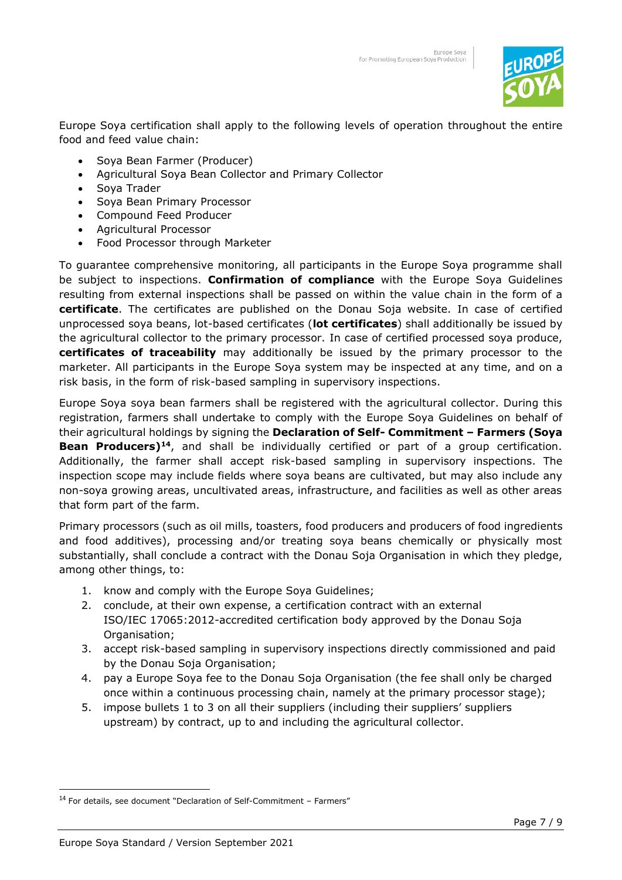

Europe Soya certification shall apply to the following levels of operation throughout the entire food and feed value chain:

- Soya Bean Farmer (Producer)
- Agricultural Soya Bean Collector and Primary Collector
- Soya Trader
- Soya Bean Primary Processor
- Compound Feed Producer
- Agricultural Processor
- Food Processor through Marketer

To guarantee comprehensive monitoring, all participants in the Europe Soya programme shall be subject to inspections. **Confirmation of compliance** with the Europe Soya Guidelines resulting from external inspections shall be passed on within the value chain in the form of a **certificate**. The certificates are published on the Donau Soja website. In case of certified unprocessed soya beans, lot-based certificates (**lot certificates**) shall additionally be issued by the agricultural collector to the primary processor. In case of certified processed soya produce, **certificates of traceability** may additionally be issued by the primary processor to the marketer. All participants in the Europe Soya system may be inspected at any time, and on a risk basis, in the form of risk-based sampling in supervisory inspections.

Europe Soya soya bean farmers shall be registered with the agricultural collector. During this registration, farmers shall undertake to comply with the Europe Soya Guidelines on behalf of their agricultural holdings by signing the **Declaration of Self- Commitment – Farmers (Soya Bean Producers)<sup>14</sup>**, and shall be individually certified or part of a group certification. Additionally, the farmer shall accept risk-based sampling in supervisory inspections. The inspection scope may include fields where soya beans are cultivated, but may also include any non-soya growing areas, uncultivated areas, infrastructure, and facilities as well as other areas that form part of the farm.

Primary processors (such as oil mills, toasters, food producers and producers of food ingredients and food additives), processing and/or treating soya beans chemically or physically most substantially, shall conclude a contract with the Donau Soja Organisation in which they pledge, among other things, to:

- 1. know and comply with the Europe Soya Guidelines;
- 2. conclude, at their own expense, a certification contract with an external ISO/IEC 17065:2012-accredited certification body approved by the Donau Soja Organisation;
- 3. accept risk-based sampling in supervisory inspections directly commissioned and paid by the Donau Soja Organisation;
- 4. pay a Europe Soya fee to the Donau Soja Organisation (the fee shall only be charged once within a continuous processing chain, namely at the primary processor stage);
- 5. impose bullets 1 to 3 on all their suppliers (including their suppliers' suppliers upstream) by contract, up to and including the agricultural collector.

<sup>14</sup> For details, see document "Declaration of Self-Commitment – Farmers"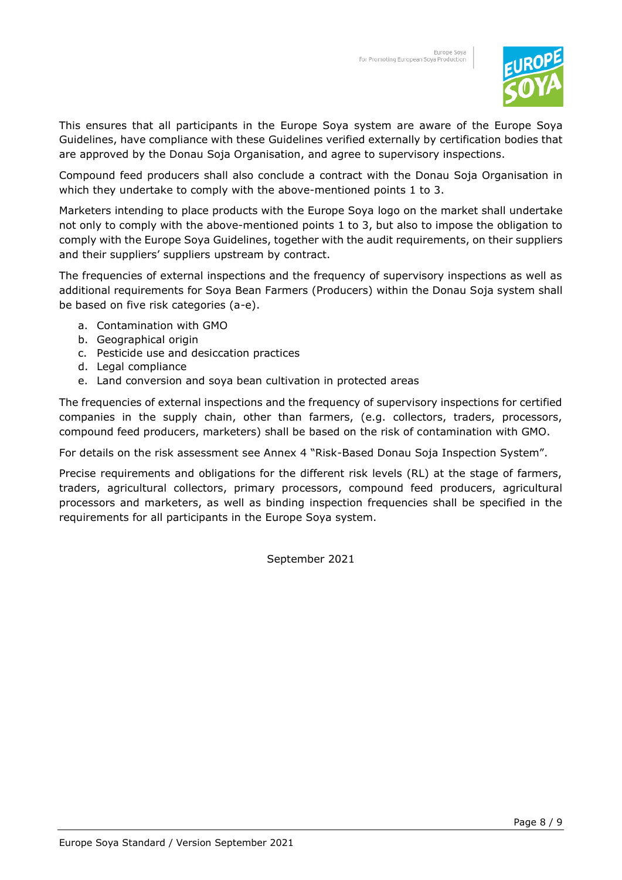

This ensures that all participants in the Europe Soya system are aware of the Europe Soya Guidelines, have compliance with these Guidelines verified externally by certification bodies that are approved by the Donau Soja Organisation, and agree to supervisory inspections.

Compound feed producers shall also conclude a contract with the Donau Soja Organisation in which they undertake to comply with the above-mentioned points 1 to 3.

Marketers intending to place products with the Europe Soya logo on the market shall undertake not only to comply with the above-mentioned points 1 to 3, but also to impose the obligation to comply with the Europe Soya Guidelines, together with the audit requirements, on their suppliers and their suppliers' suppliers upstream by contract.

The frequencies of external inspections and the frequency of supervisory inspections as well as additional requirements for Soya Bean Farmers (Producers) within the Donau Soja system shall be based on five risk categories (a-e).

- a. Contamination with GMO
- b. Geographical origin
- c. Pesticide use and desiccation practices
- d. Legal compliance
- e. Land conversion and soya bean cultivation in protected areas

The frequencies of external inspections and the frequency of supervisory inspections for certified companies in the supply chain, other than farmers, (e.g. collectors, traders, processors, compound feed producers, marketers) shall be based on the risk of contamination with GMO.

For details on the risk assessment see Annex 4 "Risk-Based Donau Soja Inspection System".

Precise requirements and obligations for the different risk levels (RL) at the stage of farmers, traders, agricultural collectors, primary processors, compound feed producers, agricultural processors and marketers, as well as binding inspection frequencies shall be specified in the requirements for all participants in the Europe Soya system.

September 2021